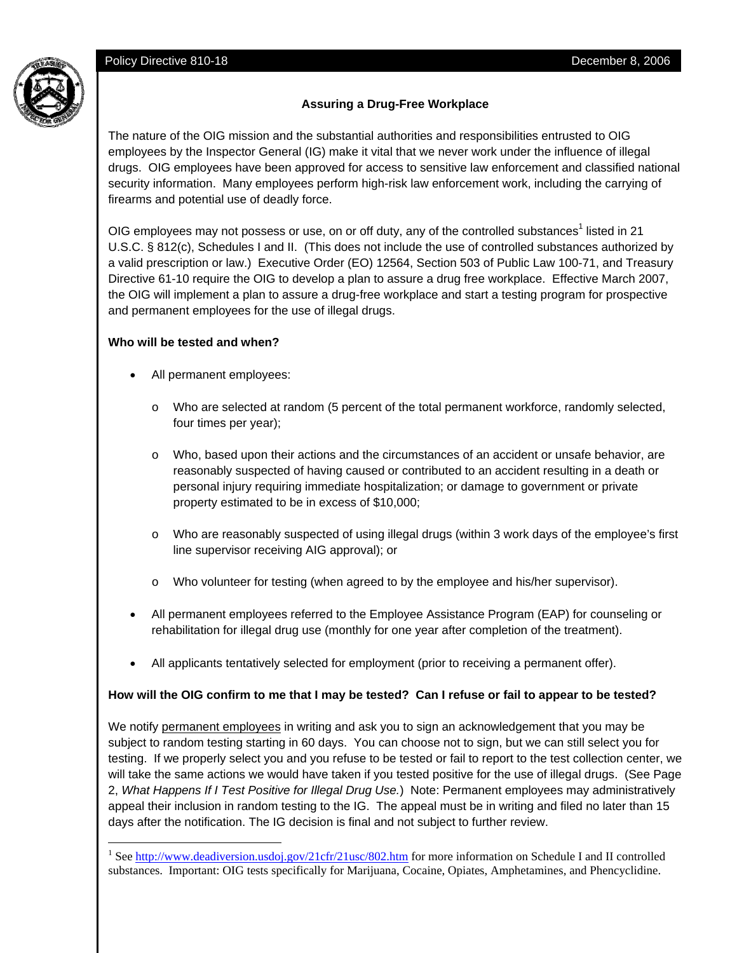

## **Assuring a Drug-Free Workplace**

The nature of the OIG mission and the substantial authorities and responsibilities entrusted to OIG employees by the Inspector General (IG) make it vital that we never work under the influence of illegal drugs. OIG employees have been approved for access to sensitive law enforcement and classified national security information. Many employees perform high-risk law enforcement work, including the carrying of firearms and potential use of deadly force.

OIG employees may not possess or use, on or off duty, any of the controlled substances<sup>1</sup> listed in 21 U.S.C. § 812(c), Schedules I and II. (This does not include the use of controlled substances authorized by a valid prescription or law.) Executive Order (EO) 12564, Section 503 of Public Law 100-71, and Treasury Directive 61-10 require the OIG to develop a plan to assure a drug free workplace. Effective March 2007, the OIG will implement a plan to assure a drug-free workplace and start a testing program for prospective and permanent employees for the use of illegal drugs.

#### **Who will be tested and when?**

 $\overline{a}$ 

- All permanent employees:
	- o Who are selected at random (5 percent of the total permanent workforce, randomly selected, four times per year);
	- o Who, based upon their actions and the circumstances of an accident or unsafe behavior, are reasonably suspected of having caused or contributed to an accident resulting in a death or personal injury requiring immediate hospitalization; or damage to government or private property estimated to be in excess of \$10,000;
	- o Who are reasonably suspected of using illegal drugs (within 3 work days of the employee's first line supervisor receiving AIG approval); or
	- o Who volunteer for testing (when agreed to by the employee and his/her supervisor).
- All permanent employees referred to the Employee Assistance Program (EAP) for counseling or rehabilitation for illegal drug use (monthly for one year after completion of the treatment).
- All applicants tentatively selected for employment (prior to receiving a permanent offer).

## **How will the OIG confirm to me that I may be tested? Can I refuse or fail to appear to be tested?**

We notify permanent employees in writing and ask you to sign an acknowledgement that you may be subject to random testing starting in 60 days. You can choose not to sign, but we can still select you for testing. If we properly select you and you refuse to be tested or fail to report to the test collection center, we will take the same actions we would have taken if you tested positive for the use of illegal drugs. (See Page 2, *What Happens If I Test Positive for Illegal Drug Use.*) Note: Permanent employees may administratively appeal their inclusion in random testing to the IG. The appeal must be in writing and filed no later than 15 days after the notification. The IG decision is final and not subject to further review.

<sup>&</sup>lt;sup>1</sup> See http://www.deadiversion.usdoj.gov/21cfr/21usc/802.htm for more information on Schedule I and II controlled substances. Important: OIG tests specifically for Marijuana, Cocaine, Opiates, Amphetamines, and Phencyclidine.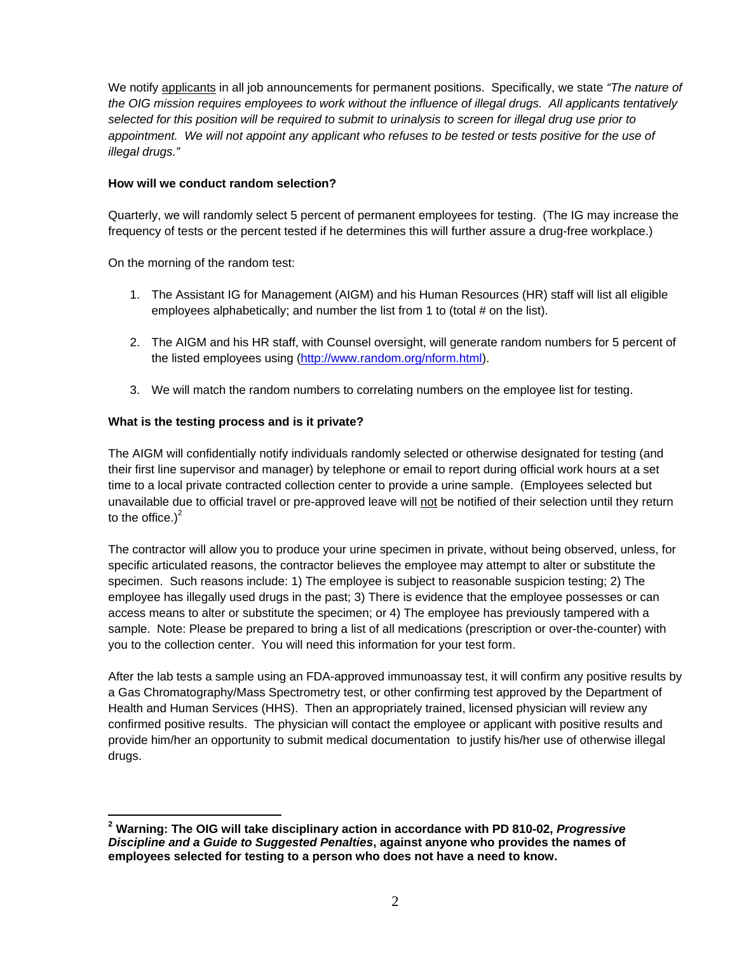We notify applicants in all job announcements for permanent positions. Specifically, we state *"The nature of the OIG mission requires employees to work without the influence of illegal drugs. All applicants tentatively selected for this position will be required to submit to urinalysis to screen for illegal drug use prior to appointment. We will not appoint any applicant who refuses to be tested or tests positive for the use of illegal drugs."*

#### **How will we conduct random selection?**

Quarterly, we will randomly select 5 percent of permanent employees for testing. (The IG may increase the frequency of tests or the percent tested if he determines this will further assure a drug-free workplace.)

On the morning of the random test:

- 1. The Assistant IG for Management (AIGM) and his Human Resources (HR) staff will list all eligible employees alphabetically; and number the list from 1 to (total # on the list).
- 2. The AIGM and his HR staff, with Counsel oversight, will generate random numbers for 5 percent of the listed employees using (http://www.random.org/nform.html).
- 3. We will match the random numbers to correlating numbers on the employee list for testing.

## **What is the testing process and is it private?**

The AIGM will confidentially notify individuals randomly selected or otherwise designated for testing (and their first line supervisor and manager) by telephone or email to report during official work hours at a set time to a local private contracted collection center to provide a urine sample. (Employees selected but unavailable due to official travel or pre-approved leave will not be notified of their selection until they return to the office.) $2$ 

The contractor will allow you to produce your urine specimen in private, without being observed, unless, for specific articulated reasons, the contractor believes the employee may attempt to alter or substitute the specimen. Such reasons include: 1) The employee is subject to reasonable suspicion testing; 2) The employee has illegally used drugs in the past; 3) There is evidence that the employee possesses or can access means to alter or substitute the specimen; or 4) The employee has previously tampered with a sample. Note: Please be prepared to bring a list of all medications (prescription or over-the-counter) with you to the collection center. You will need this information for your test form.

After the lab tests a sample using an FDA-approved immunoassay test, it will confirm any positive results by a Gas Chromatography/Mass Spectrometry test, or other confirming test approved by the Department of Health and Human Services (HHS). Then an appropriately trained, licensed physician will review any confirmed positive results. The physician will contact the employee or applicant with positive results and provide him/her an opportunity to submit medical documentation to justify his/her use of otherwise illegal drugs.

 **2 Warning: The OIG will take disciplinary action in accordance with PD 810-02,** *Progressive Discipline and a Guide to Suggested Penalties***, against anyone who provides the names of employees selected for testing to a person who does not have a need to know.**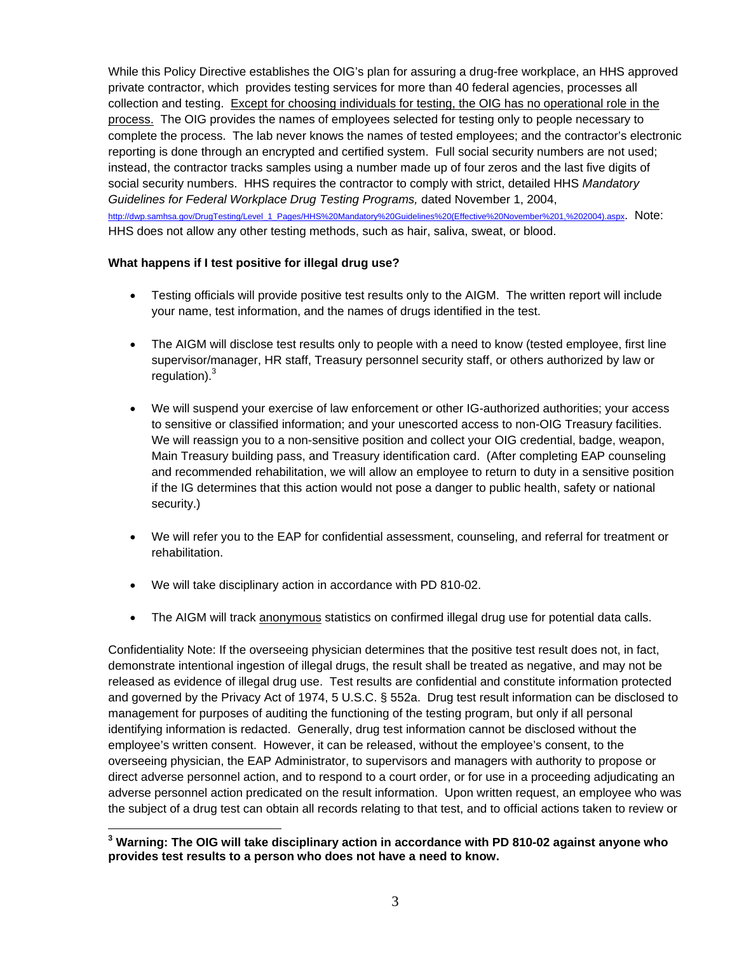While this Policy Directive establishes the OIG's plan for assuring a drug-free workplace, an HHS approved private contractor, which provides testing services for more than 40 federal agencies, processes all collection and testing. Except for choosing individuals for testing, the OIG has no operational role in the process. The OIG provides the names of employees selected for testing only to people necessary to complete the process. The lab never knows the names of tested employees; and the contractor's electronic reporting is done through an encrypted and certified system. Full social security numbers are not used; instead, the contractor tracks samples using a number made up of four zeros and the last five digits of social security numbers. HHS requires the contractor to comply with strict, detailed HHS *Mandatory Guidelines for Federal Workplace Drug Testing Programs,* dated November 1, 2004, http://dwp.samhsa.gov/DrugTesting/Level\_1\_Pages/HHS%20Mandatory%20Guidelines%20(Effective%20November%201,%202004).aspx. Note: HHS does not allow any other testing methods, such as hair, saliva, sweat, or blood.

## **What happens if I test positive for illegal drug use?**

- Testing officials will provide positive test results only to the AIGM. The written report will include your name, test information, and the names of drugs identified in the test.
- The AIGM will disclose test results only to people with a need to know (tested employee, first line supervisor/manager, HR staff, Treasury personnel security staff, or others authorized by law or regulation). $3$
- We will suspend your exercise of law enforcement or other IG-authorized authorities; your access to sensitive or classified information; and your unescorted access to non-OIG Treasury facilities. We will reassign you to a non-sensitive position and collect your OIG credential, badge, weapon, Main Treasury building pass, and Treasury identification card. (After completing EAP counseling and recommended rehabilitation, we will allow an employee to return to duty in a sensitive position if the IG determines that this action would not pose a danger to public health, safety or national security.)
- We will refer you to the EAP for confidential assessment, counseling, and referral for treatment or rehabilitation.
- We will take disciplinary action in accordance with PD 810-02.

 $\overline{a}$ 

• The AIGM will track anonymous statistics on confirmed illegal drug use for potential data calls.

Confidentiality Note: If the overseeing physician determines that the positive test result does not, in fact, demonstrate intentional ingestion of illegal drugs, the result shall be treated as negative, and may not be released as evidence of illegal drug use. Test results are confidential and constitute information protected and governed by the Privacy Act of 1974, 5 U.S.C. § 552a. Drug test result information can be disclosed to management for purposes of auditing the functioning of the testing program, but only if all personal identifying information is redacted. Generally, drug test information cannot be disclosed without the employee's written consent. However, it can be released, without the employee's consent, to the overseeing physician, the EAP Administrator, to supervisors and managers with authority to propose or direct adverse personnel action, and to respond to a court order, or for use in a proceeding adjudicating an adverse personnel action predicated on the result information. Upon written request, an employee who was the subject of a drug test can obtain all records relating to that test, and to official actions taken to review or

**<sup>3</sup> Warning: The OIG will take disciplinary action in accordance with PD 810-02 against anyone who provides test results to a person who does not have a need to know.**